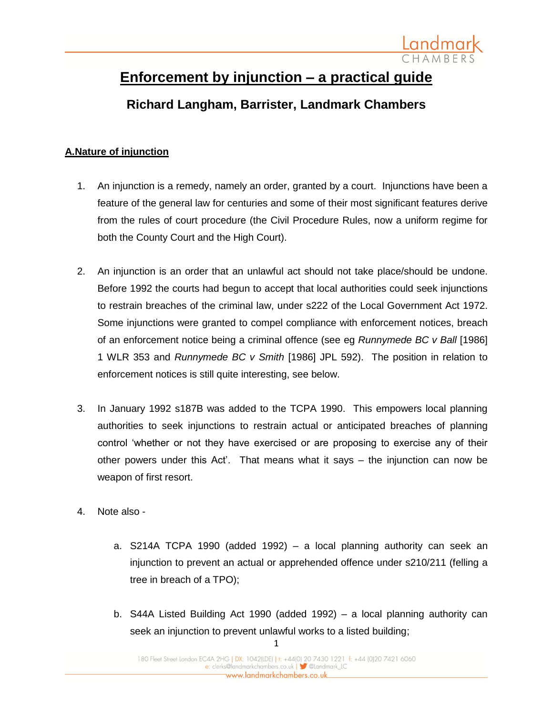

# **Enforcement by injunction – a practical guide**

## **Richard Langham, Barrister, Landmark Chambers**

## **A.Nature of injunction**

- 1. An injunction is a remedy, namely an order, granted by a court. Injunctions have been a feature of the general law for centuries and some of their most significant features derive from the rules of court procedure (the Civil Procedure Rules, now a uniform regime for both the County Court and the High Court).
- 2. An injunction is an order that an unlawful act should not take place/should be undone. Before 1992 the courts had begun to accept that local authorities could seek injunctions to restrain breaches of the criminal law, under s222 of the Local Government Act 1972. Some injunctions were granted to compel compliance with enforcement notices, breach of an enforcement notice being a criminal offence (see eg *Runnymede BC v Ball* [1986] 1 WLR 353 and *Runnymede BC v Smith* [1986] JPL 592). The position in relation to enforcement notices is still quite interesting, see below.
- 3. In January 1992 s187B was added to the TCPA 1990. This empowers local planning authorities to seek injunctions to restrain actual or anticipated breaches of planning control 'whether or not they have exercised or are proposing to exercise any of their other powers under this Act'. That means what it says – the injunction can now be weapon of first resort.
- 4. Note also
	- a. S214A TCPA 1990 (added 1992) a local planning authority can seek an injunction to prevent an actual or apprehended offence under s210/211 (felling a tree in breach of a TPO);
	- b. S44A Listed Building Act 1990 (added 1992) a local planning authority can seek an injunction to prevent unlawful works to a listed building;

1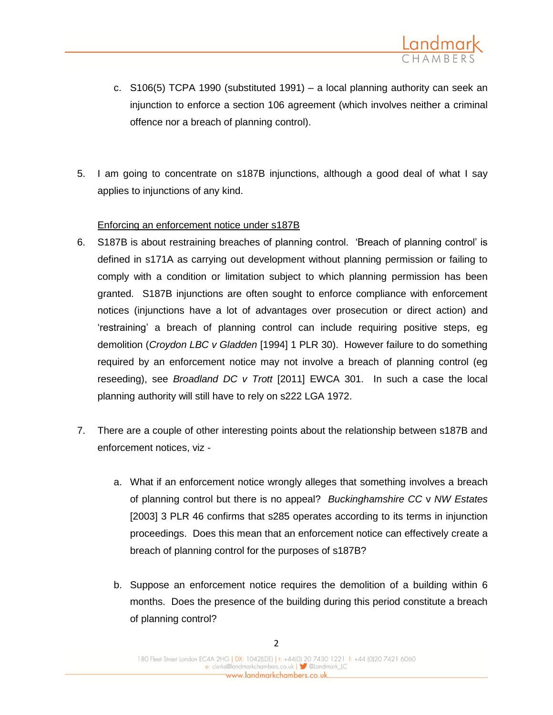

- c. S106(5) TCPA 1990 (substituted 1991) a local planning authority can seek an injunction to enforce a section 106 agreement (which involves neither a criminal offence nor a breach of planning control).
- 5. I am going to concentrate on s187B injunctions, although a good deal of what I say applies to injunctions of any kind.

#### Enforcing an enforcement notice under s187B

- 6. S187B is about restraining breaches of planning control. 'Breach of planning control' is defined in s171A as carrying out development without planning permission or failing to comply with a condition or limitation subject to which planning permission has been granted. S187B injunctions are often sought to enforce compliance with enforcement notices (injunctions have a lot of advantages over prosecution or direct action) and 'restraining' a breach of planning control can include requiring positive steps, eg demolition (*Croydon LBC v Gladden* [1994] 1 PLR 30). However failure to do something required by an enforcement notice may not involve a breach of planning control (eg reseeding), see *Broadland DC v Trott* [2011] EWCA 301. In such a case the local planning authority will still have to rely on s222 LGA 1972.
- 7. There are a couple of other interesting points about the relationship between s187B and enforcement notices, viz
	- a. What if an enforcement notice wrongly alleges that something involves a breach of planning control but there is no appeal? *Buckinghamshire CC* v *NW Estates*  [2003] 3 PLR 46 confirms that s285 operates according to its terms in injunction proceedings. Does this mean that an enforcement notice can effectively create a breach of planning control for the purposes of s187B?
	- b. Suppose an enforcement notice requires the demolition of a building within 6 months. Does the presence of the building during this period constitute a breach of planning control?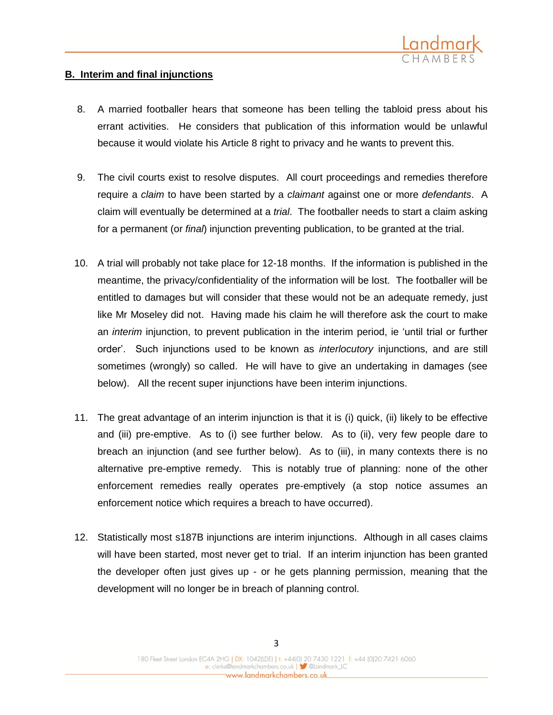

#### **B. Interim and final injunctions**

- 8. A married footballer hears that someone has been telling the tabloid press about his errant activities. He considers that publication of this information would be unlawful because it would violate his Article 8 right to privacy and he wants to prevent this.
- 9. The civil courts exist to resolve disputes. All court proceedings and remedies therefore require a *claim* to have been started by a *claimant* against one or more *defendants*. A claim will eventually be determined at a *trial*. The footballer needs to start a claim asking for a permanent (or *final*) injunction preventing publication, to be granted at the trial.
- 10. A trial will probably not take place for 12-18 months. If the information is published in the meantime, the privacy/confidentiality of the information will be lost. The footballer will be entitled to damages but will consider that these would not be an adequate remedy, just like Mr Moseley did not. Having made his claim he will therefore ask the court to make an *interim* injunction, to prevent publication in the interim period, ie 'until trial or further order'. Such injunctions used to be known as *interlocutory* injunctions, and are still sometimes (wrongly) so called. He will have to give an undertaking in damages (see below). All the recent super injunctions have been interim injunctions.
- 11. The great advantage of an interim injunction is that it is (i) quick, (ii) likely to be effective and (iii) pre-emptive. As to (i) see further below. As to (ii), very few people dare to breach an injunction (and see further below). As to (iii), in many contexts there is no alternative pre-emptive remedy. This is notably true of planning: none of the other enforcement remedies really operates pre-emptively (a stop notice assumes an enforcement notice which requires a breach to have occurred).
- 12. Statistically most s187B injunctions are interim injunctions. Although in all cases claims will have been started, most never get to trial. If an interim injunction has been granted the developer often just gives up - or he gets planning permission, meaning that the development will no longer be in breach of planning control.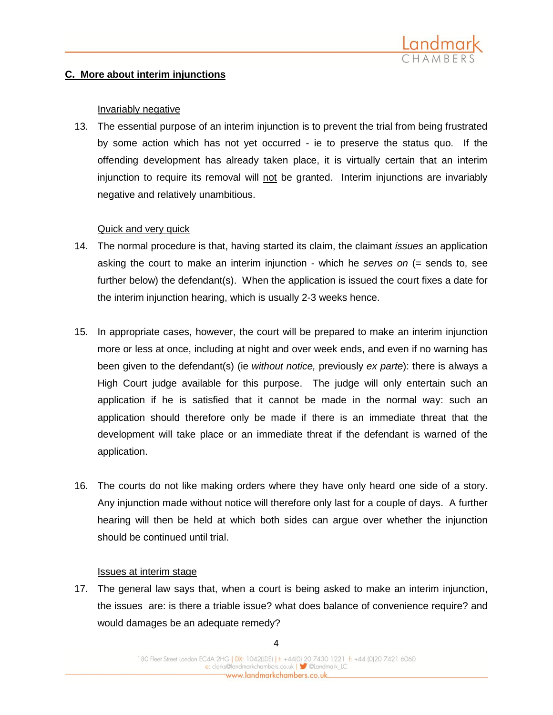

#### **C. More about interim injunctions**

#### Invariably negative

13. The essential purpose of an interim injunction is to prevent the trial from being frustrated by some action which has not yet occurred - ie to preserve the status quo. If the offending development has already taken place, it is virtually certain that an interim injunction to require its removal will not be granted. Interim injunctions are invariably negative and relatively unambitious.

#### Quick and very quick

- 14. The normal procedure is that, having started its claim, the claimant *issues* an application asking the court to make an interim injunction - which he *serves on* (= sends to, see further below) the defendant(s). When the application is issued the court fixes a date for the interim injunction hearing, which is usually 2-3 weeks hence.
- 15. In appropriate cases, however, the court will be prepared to make an interim injunction more or less at once, including at night and over week ends, and even if no warning has been given to the defendant(s) (ie *without notice,* previously *ex parte*): there is always a High Court judge available for this purpose. The judge will only entertain such an application if he is satisfied that it cannot be made in the normal way: such an application should therefore only be made if there is an immediate threat that the development will take place or an immediate threat if the defendant is warned of the application.
- 16. The courts do not like making orders where they have only heard one side of a story. Any injunction made without notice will therefore only last for a couple of days. A further hearing will then be held at which both sides can argue over whether the injunction should be continued until trial.

#### Issues at interim stage

17. The general law says that, when a court is being asked to make an interim injunction, the issues are: is there a triable issue? what does balance of convenience require? and would damages be an adequate remedy?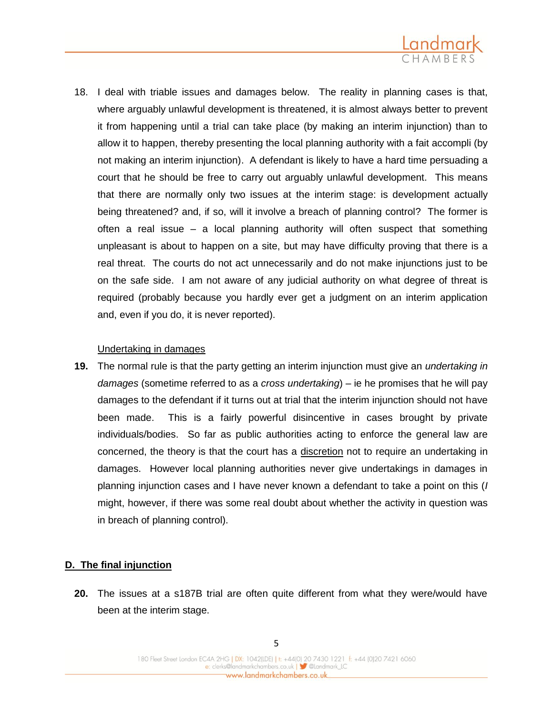

18. I deal with triable issues and damages below. The reality in planning cases is that, where arguably unlawful development is threatened, it is almost always better to prevent it from happening until a trial can take place (by making an interim injunction) than to allow it to happen, thereby presenting the local planning authority with a fait accompli (by not making an interim injunction). A defendant is likely to have a hard time persuading a court that he should be free to carry out arguably unlawful development. This means that there are normally only two issues at the interim stage: is development actually being threatened? and, if so, will it involve a breach of planning control? The former is often a real issue – a local planning authority will often suspect that something unpleasant is about to happen on a site, but may have difficulty proving that there is a real threat. The courts do not act unnecessarily and do not make injunctions just to be on the safe side. I am not aware of any judicial authority on what degree of threat is required (probably because you hardly ever get a judgment on an interim application and, even if you do, it is never reported).

#### Undertaking in damages

**19.** The normal rule is that the party getting an interim injunction must give an *undertaking in damages* (sometime referred to as a *cross undertaking*) – ie he promises that he will pay damages to the defendant if it turns out at trial that the interim injunction should not have been made. This is a fairly powerful disincentive in cases brought by private individuals/bodies. So far as public authorities acting to enforce the general law are concerned, the theory is that the court has a discretion not to require an undertaking in damages. However local planning authorities never give undertakings in damages in planning injunction cases and I have never known a defendant to take a point on this (*I*  might, however, if there was some real doubt about whether the activity in question was in breach of planning control).

## **D. The final injunction**

**20.** The issues at a s187B trial are often quite different from what they were/would have been at the interim stage.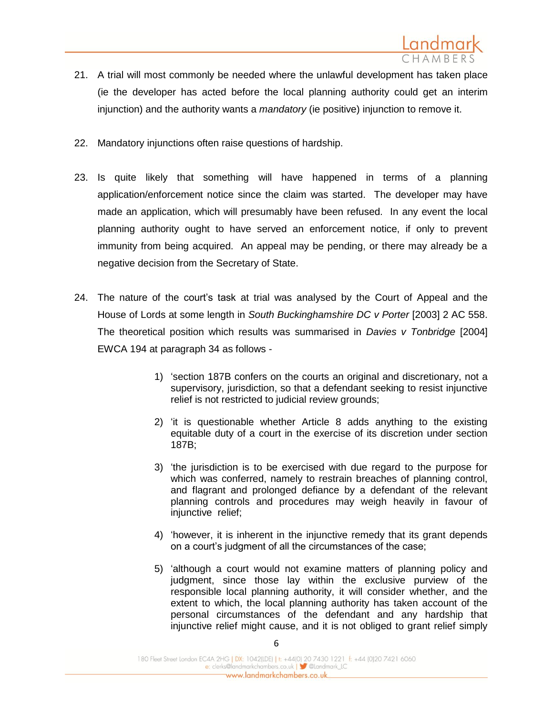

- 21. A trial will most commonly be needed where the unlawful development has taken place (ie the developer has acted before the local planning authority could get an interim injunction) and the authority wants a *mandatory* (ie positive) injunction to remove it.
- 22. Mandatory injunctions often raise questions of hardship.
- 23. Is quite likely that something will have happened in terms of a planning application/enforcement notice since the claim was started. The developer may have made an application, which will presumably have been refused. In any event the local planning authority ought to have served an enforcement notice, if only to prevent immunity from being acquired. An appeal may be pending, or there may already be a negative decision from the Secretary of State.
- 24. The nature of the court's task at trial was analysed by the Court of Appeal and the House of Lords at some length in *South Buckinghamshire DC v Porter* [2003] 2 AC 558. The theoretical position which results was summarised in *Davies v Tonbridge* [2004] EWCA 194 at paragraph 34 as follows -
	- 1) 'section 187B confers on the courts an original and discretionary, not a supervisory, jurisdiction, so that a defendant seeking to resist injunctive relief is not restricted to judicial review grounds;
	- 2) 'it is questionable whether Article 8 adds anything to the existing equitable duty of a court in the exercise of its discretion under section 187B;
	- 3) 'the jurisdiction is to be exercised with due regard to the purpose for which was conferred, namely to restrain breaches of planning control, and flagrant and prolonged defiance by a defendant of the relevant planning controls and procedures may weigh heavily in favour of injunctive relief;
	- 4) 'however, it is inherent in the injunctive remedy that its grant depends on a court's judgment of all the circumstances of the case;
	- 5) 'although a court would not examine matters of planning policy and judgment, since those lay within the exclusive purview of the responsible local planning authority, it will consider whether, and the extent to which, the local planning authority has taken account of the personal circumstances of the defendant and any hardship that injunctive relief might cause, and it is not obliged to grant relief simply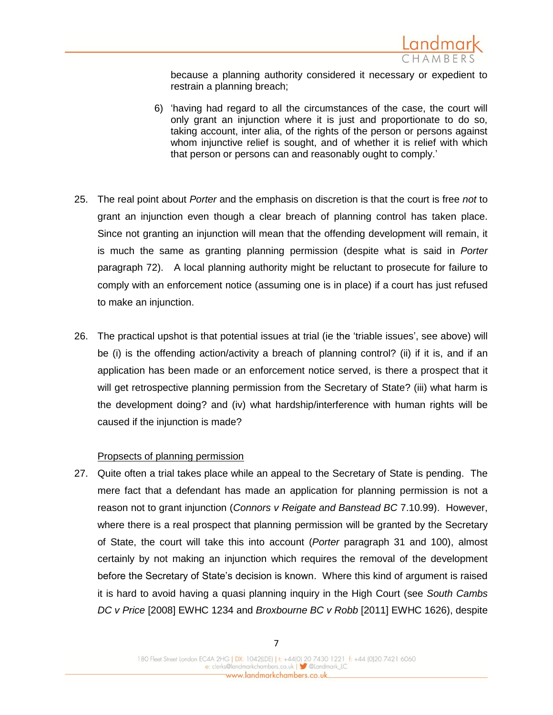

because a planning authority considered it necessary or expedient to restrain a planning breach;

- 6) 'having had regard to all the circumstances of the case, the court will only grant an injunction where it is just and proportionate to do so, taking account, inter alia, of the rights of the person or persons against whom injunctive relief is sought, and of whether it is relief with which that person or persons can and reasonably ought to comply.'
- 25. The real point about *Porter* and the emphasis on discretion is that the court is free *not* to grant an injunction even though a clear breach of planning control has taken place. Since not granting an injunction will mean that the offending development will remain, it is much the same as granting planning permission (despite what is said in *Porter* paragraph 72). A local planning authority might be reluctant to prosecute for failure to comply with an enforcement notice (assuming one is in place) if a court has just refused to make an injunction.
- 26. The practical upshot is that potential issues at trial (ie the 'triable issues', see above) will be (i) is the offending action/activity a breach of planning control? (ii) if it is, and if an application has been made or an enforcement notice served, is there a prospect that it will get retrospective planning permission from the Secretary of State? (iii) what harm is the development doing? and (iv) what hardship/interference with human rights will be caused if the injunction is made?

#### Propsects of planning permission

27. Quite often a trial takes place while an appeal to the Secretary of State is pending. The mere fact that a defendant has made an application for planning permission is not a reason not to grant injunction (*Connors v Reigate and Banstead BC* 7.10.99). However, where there is a real prospect that planning permission will be granted by the Secretary of State, the court will take this into account (*Porter* paragraph 31 and 100), almost certainly by not making an injunction which requires the removal of the development before the Secretary of State's decision is known. Where this kind of argument is raised it is hard to avoid having a quasi planning inquiry in the High Court (see *South Cambs DC v Price* [2008] EWHC 1234 and *Broxbourne BC v Robb* [2011] EWHC 1626), despite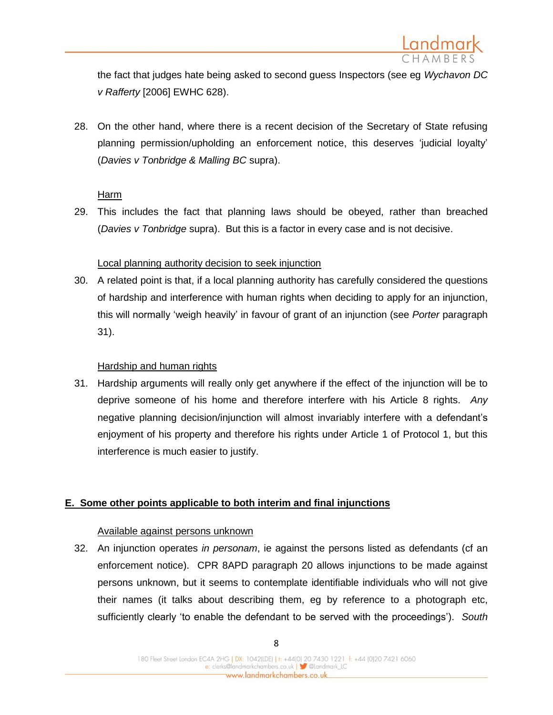

the fact that judges hate being asked to second guess Inspectors (see eg *Wychavon DC v Rafferty* [2006] EWHC 628).

28. On the other hand, where there is a recent decision of the Secretary of State refusing planning permission/upholding an enforcement notice, this deserves 'judicial loyalty' (*Davies v Tonbridge & Malling BC* supra).

#### Harm

29. This includes the fact that planning laws should be obeyed, rather than breached (*Davies v Tonbridge* supra). But this is a factor in every case and is not decisive.

#### Local planning authority decision to seek injunction

30. A related point is that, if a local planning authority has carefully considered the questions of hardship and interference with human rights when deciding to apply for an injunction, this will normally 'weigh heavily' in favour of grant of an injunction (see *Porter* paragraph 31).

#### Hardship and human rights

31. Hardship arguments will really only get anywhere if the effect of the injunction will be to deprive someone of his home and therefore interfere with his Article 8 rights. *Any* negative planning decision/injunction will almost invariably interfere with a defendant's enjoyment of his property and therefore his rights under Article 1 of Protocol 1, but this interference is much easier to justify.

#### **E. Some other points applicable to both interim and final injunctions**

#### Available against persons unknown

32. An injunction operates *in personam*, ie against the persons listed as defendants (cf an enforcement notice). CPR 8APD paragraph 20 allows injunctions to be made against persons unknown, but it seems to contemplate identifiable individuals who will not give their names (it talks about describing them, eg by reference to a photograph etc, sufficiently clearly 'to enable the defendant to be served with the proceedings'). *South*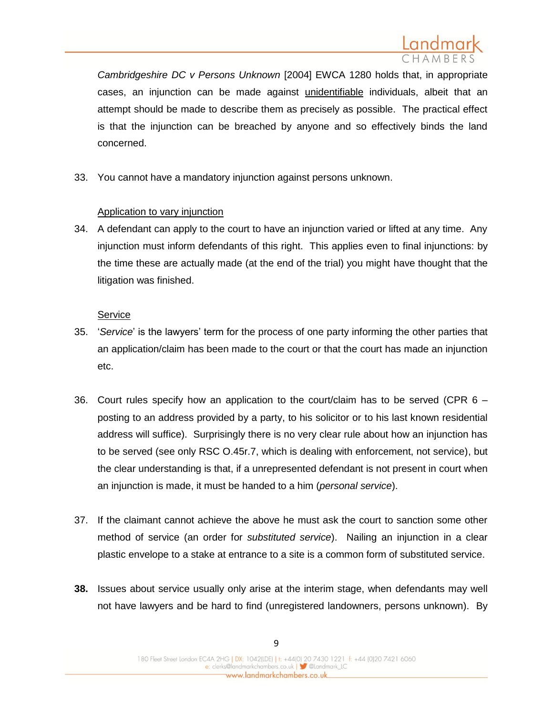

*Cambridgeshire DC v Persons Unknown* [2004] EWCA 1280 holds that, in appropriate cases, an injunction can be made against unidentifiable individuals, albeit that an attempt should be made to describe them as precisely as possible. The practical effect is that the injunction can be breached by anyone and so effectively binds the land concerned.

33. You cannot have a mandatory injunction against persons unknown.

#### Application to vary injunction

34. A defendant can apply to the court to have an injunction varied or lifted at any time. Any injunction must inform defendants of this right. This applies even to final injunctions: by the time these are actually made (at the end of the trial) you might have thought that the litigation was finished.

#### **Service**

- 35. '*Service*' is the lawyers' term for the process of one party informing the other parties that an application/claim has been made to the court or that the court has made an injunction etc.
- 36. Court rules specify how an application to the court/claim has to be served (CPR 6 posting to an address provided by a party, to his solicitor or to his last known residential address will suffice). Surprisingly there is no very clear rule about how an injunction has to be served (see only RSC O.45r.7, which is dealing with enforcement, not service), but the clear understanding is that, if a unrepresented defendant is not present in court when an injunction is made, it must be handed to a him (*personal service*).
- 37. If the claimant cannot achieve the above he must ask the court to sanction some other method of service (an order for *substituted service*). Nailing an injunction in a clear plastic envelope to a stake at entrance to a site is a common form of substituted service.
- **38.** Issues about service usually only arise at the interim stage, when defendants may well not have lawyers and be hard to find (unregistered landowners, persons unknown). By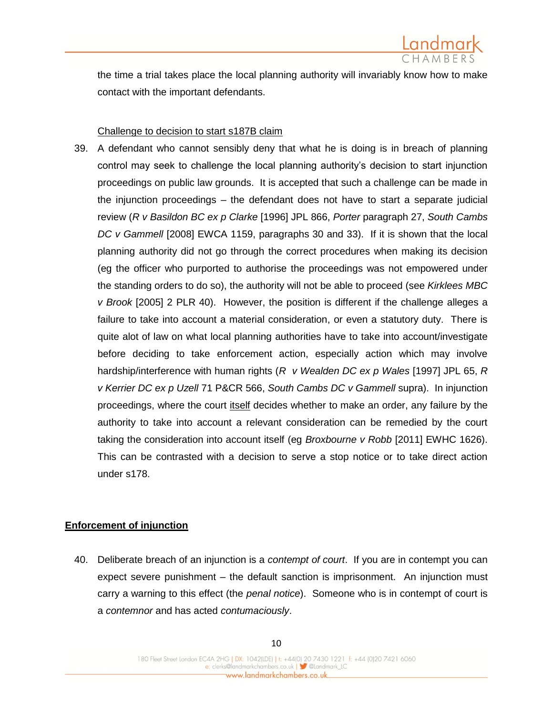

the time a trial takes place the local planning authority will invariably know how to make contact with the important defendants.

#### Challenge to decision to start s187B claim

39. A defendant who cannot sensibly deny that what he is doing is in breach of planning control may seek to challenge the local planning authority's decision to start injunction proceedings on public law grounds. It is accepted that such a challenge can be made in the injunction proceedings – the defendant does not have to start a separate judicial review (*R v Basildon BC ex p Clarke* [1996] JPL 866, *Porter* paragraph 27, *South Cambs DC v Gammell* [2008] EWCA 1159, paragraphs 30 and 33). If it is shown that the local planning authority did not go through the correct procedures when making its decision (eg the officer who purported to authorise the proceedings was not empowered under the standing orders to do so), the authority will not be able to proceed (see *Kirklees MBC v Brook* [2005] 2 PLR 40). However, the position is different if the challenge alleges a failure to take into account a material consideration, or even a statutory duty. There is quite alot of law on what local planning authorities have to take into account/investigate before deciding to take enforcement action, especially action which may involve hardship/interference with human rights (*R v Wealden DC ex p Wales* [1997] JPL 65, *R v Kerrier DC ex p Uzell* 71 P&CR 566, *South Cambs DC v Gammell* supra). In injunction proceedings, where the court itself decides whether to make an order, any failure by the authority to take into account a relevant consideration can be remedied by the court taking the consideration into account itself (eg *Broxbourne v Robb* [2011] EWHC 1626). This can be contrasted with a decision to serve a stop notice or to take direct action under s178.

#### **Enforcement of injunction**

40. Deliberate breach of an injunction is a *contempt of court*. If you are in contempt you can expect severe punishment – the default sanction is imprisonment. An injunction must carry a warning to this effect (the *penal notice*). Someone who is in contempt of court is a *contemnor* and has acted *contumaciously*.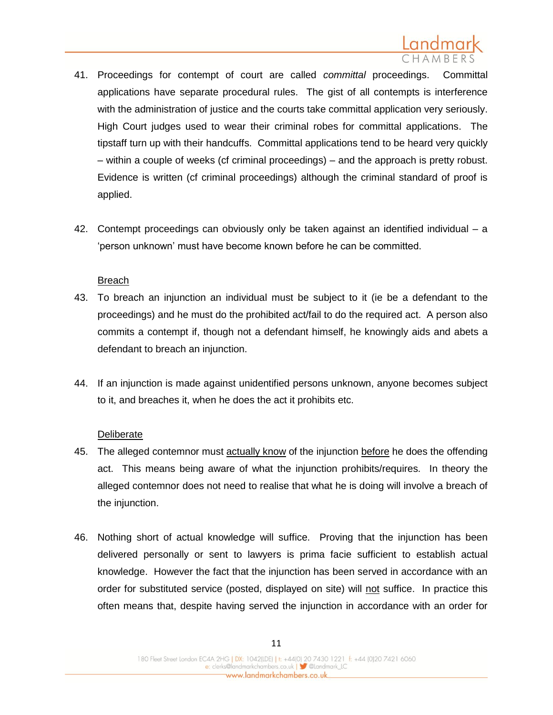

- 41. Proceedings for contempt of court are called *committal* proceedings. Committal applications have separate procedural rules. The gist of all contempts is interference with the administration of justice and the courts take committal application very seriously. High Court judges used to wear their criminal robes for committal applications. The tipstaff turn up with their handcuffs. Committal applications tend to be heard very quickly – within a couple of weeks (cf criminal proceedings) – and the approach is pretty robust. Evidence is written (cf criminal proceedings) although the criminal standard of proof is applied.
- 42. Contempt proceedings can obviously only be taken against an identified individual a 'person unknown' must have become known before he can be committed.

#### Breach

- 43. To breach an injunction an individual must be subject to it (ie be a defendant to the proceedings) and he must do the prohibited act/fail to do the required act. A person also commits a contempt if, though not a defendant himself, he knowingly aids and abets a defendant to breach an injunction.
- 44. If an injunction is made against unidentified persons unknown, anyone becomes subject to it, and breaches it, when he does the act it prohibits etc.

#### **Deliberate**

- 45. The alleged contemnor must actually know of the injunction before he does the offending act. This means being aware of what the injunction prohibits/requires. In theory the alleged contemnor does not need to realise that what he is doing will involve a breach of the injunction.
- 46. Nothing short of actual knowledge will suffice. Proving that the injunction has been delivered personally or sent to lawyers is prima facie sufficient to establish actual knowledge. However the fact that the injunction has been served in accordance with an order for substituted service (posted, displayed on site) will not suffice. In practice this often means that, despite having served the injunction in accordance with an order for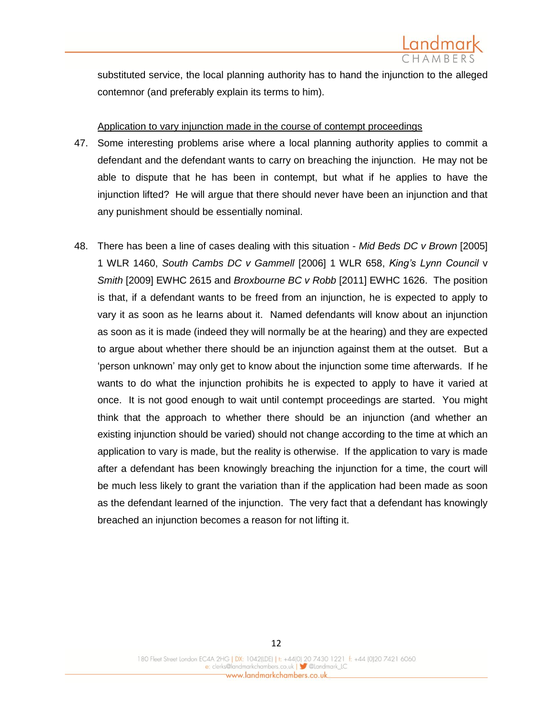substituted service, the local planning authority has to hand the injunction to the alleged contemnor (and preferably explain its terms to him).

#### Application to vary injunction made in the course of contempt proceedings

- 47. Some interesting problems arise where a local planning authority applies to commit a defendant and the defendant wants to carry on breaching the injunction. He may not be able to dispute that he has been in contempt, but what if he applies to have the injunction lifted? He will argue that there should never have been an injunction and that any punishment should be essentially nominal.
- 48. There has been a line of cases dealing with this situation *Mid Beds DC v Brown* [2005] 1 WLR 1460, *South Cambs DC v Gammell* [2006] 1 WLR 658, *King's Lynn Council* v *Smith* [2009] EWHC 2615 and *Broxbourne BC v Robb* [2011] EWHC 1626. The position is that, if a defendant wants to be freed from an injunction, he is expected to apply to vary it as soon as he learns about it. Named defendants will know about an injunction as soon as it is made (indeed they will normally be at the hearing) and they are expected to argue about whether there should be an injunction against them at the outset. But a 'person unknown' may only get to know about the injunction some time afterwards. If he wants to do what the injunction prohibits he is expected to apply to have it varied at once. It is not good enough to wait until contempt proceedings are started. You might think that the approach to whether there should be an injunction (and whether an existing injunction should be varied) should not change according to the time at which an application to vary is made, but the reality is otherwise. If the application to vary is made after a defendant has been knowingly breaching the injunction for a time, the court will be much less likely to grant the variation than if the application had been made as soon as the defendant learned of the injunction. The very fact that a defendant has knowingly breached an injunction becomes a reason for not lifting it.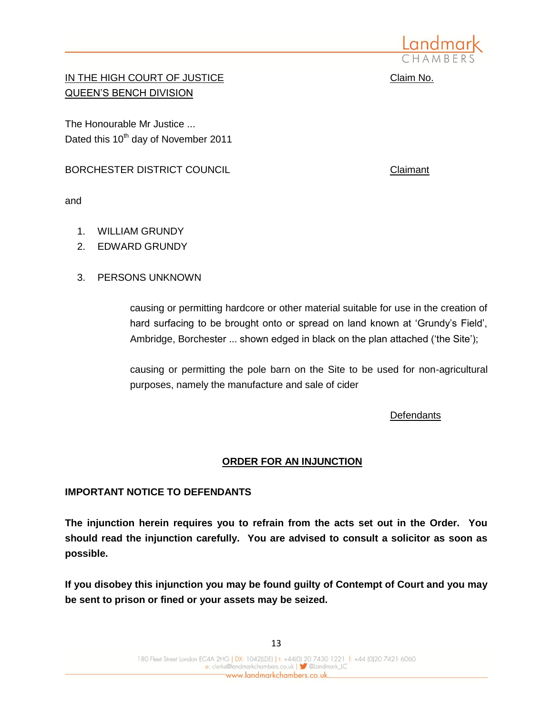

IN THE HIGH COURT OF JUSTICE **COURT OF SALE CLAIM** Claim No. QUEEN'S BENCH DIVISION

The Honourable Mr Justice ... Dated this 10<sup>th</sup> day of November 2011

BORCHESTER DISTRICT COUNCIL **COUNCIL** COUNCIL COUNCIL

and

- 1. WILLIAM GRUNDY
- 2. EDWARD GRUNDY
- 3. PERSONS UNKNOWN

causing or permitting hardcore or other material suitable for use in the creation of hard surfacing to be brought onto or spread on land known at 'Grundy's Field', Ambridge, Borchester ... shown edged in black on the plan attached ('the Site');

causing or permitting the pole barn on the Site to be used for non-agricultural purposes, namely the manufacture and sale of cider

**Defendants** 

## **ORDER FOR AN INJUNCTION**

## **IMPORTANT NOTICE TO DEFENDANTS**

**The injunction herein requires you to refrain from the acts set out in the Order. You should read the injunction carefully. You are advised to consult a solicitor as soon as possible.** 

**If you disobey this injunction you may be found guilty of Contempt of Court and you may be sent to prison or fined or your assets may be seized.**

13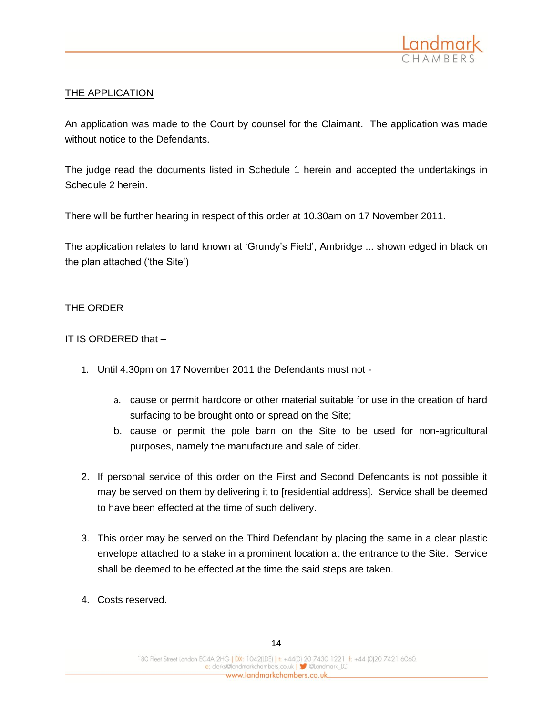

## THE APPLICATION

An application was made to the Court by counsel for the Claimant. The application was made without notice to the Defendants.

The judge read the documents listed in Schedule 1 herein and accepted the undertakings in Schedule 2 herein.

There will be further hearing in respect of this order at 10.30am on 17 November 2011.

The application relates to land known at 'Grundy's Field', Ambridge ... shown edged in black on the plan attached ('the Site')

#### THE ORDER

IT IS ORDERED that –

- 1. Until 4.30pm on 17 November 2011 the Defendants must not
	- a. cause or permit hardcore or other material suitable for use in the creation of hard surfacing to be brought onto or spread on the Site;
	- b. cause or permit the pole barn on the Site to be used for non-agricultural purposes, namely the manufacture and sale of cider.
- 2. If personal service of this order on the First and Second Defendants is not possible it may be served on them by delivering it to [residential address]. Service shall be deemed to have been effected at the time of such delivery.
- 3. This order may be served on the Third Defendant by placing the same in a clear plastic envelope attached to a stake in a prominent location at the entrance to the Site. Service shall be deemed to be effected at the time the said steps are taken.
- 4. Costs reserved.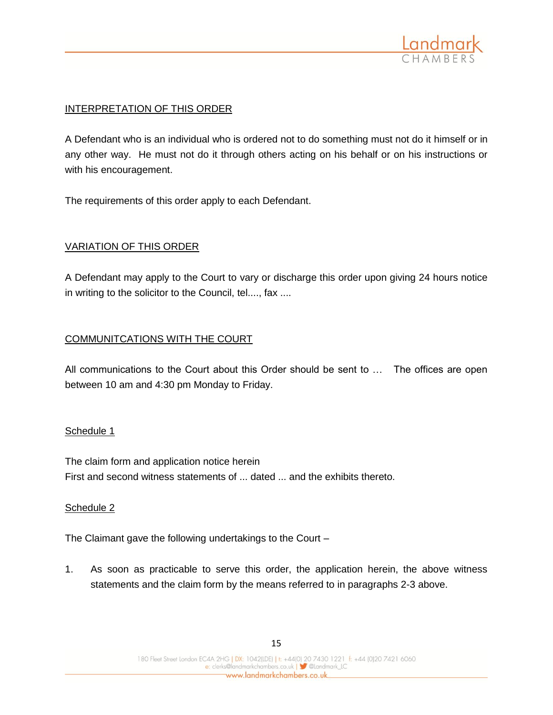

## INTERPRETATION OF THIS ORDER

A Defendant who is an individual who is ordered not to do something must not do it himself or in any other way. He must not do it through others acting on his behalf or on his instructions or with his encouragement.

The requirements of this order apply to each Defendant.

## VARIATION OF THIS ORDER

A Defendant may apply to the Court to vary or discharge this order upon giving 24 hours notice in writing to the solicitor to the Council, tel...., fax ....

#### COMMUNITCATIONS WITH THE COURT

All communications to the Court about this Order should be sent to … The offices are open between 10 am and 4:30 pm Monday to Friday.

#### Schedule 1

The claim form and application notice herein First and second witness statements of ... dated ... and the exhibits thereto.

#### Schedule 2

The Claimant gave the following undertakings to the Court –

1. As soon as practicable to serve this order, the application herein, the above witness statements and the claim form by the means referred to in paragraphs 2-3 above.